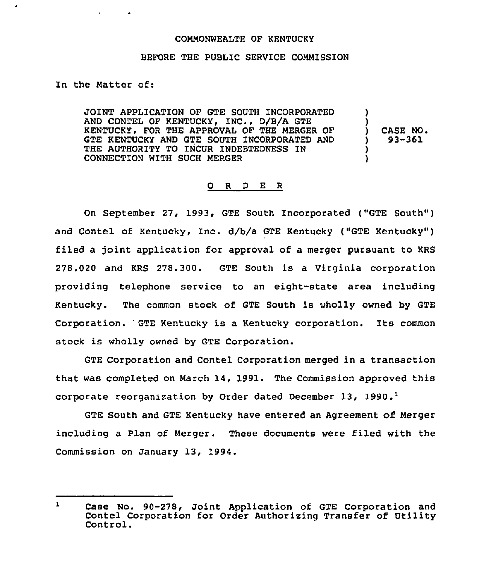### COMMONWEALTH OF KENTUCKY

#### BEFORE THE PUBLIC SERVICE COMMISSION

In the Matter of:

JOINT APPLICATION OF GTE SOUTH INCORPORATED AND CONTEL OF KENTUCKY, INC., D/B/A GTE KENTUCKY, FOR THE APPROVAL OF THE MERGER OF GTE KENTUCKY AND GTE SOUTH INCORPORATED AND THE AUTHORITY TO INCUR INDEBTEDNESS IN CONNECTION WITH SUCH MERGER ) )<br>) ) CASE NO.<br>) 93-361 ) 93-361 ) )

#### 0 <sup>R</sup> <sup>D</sup> E R

On September 27, 1993, GTE South Incorporated ("GTE South" ) and Contel of Kentucky, Inc. d/b/a GTE Kentucky ("GTE Kentucky" ) filed a joint application for approval of a merger pursuant to KRS 278.020 and KRS 278.300. GTE South is <sup>a</sup> Virginia corporation providing telephone service to an eight-state area including Kentucky. The common stock of GTE South is wholly owned by GTE Corporation. 'TE Kentucky is <sup>a</sup> Kentucky corporation. Its common stock is wholly owned by GTE Corporation.

GTE Corporation and Contel Corporation merged in a transaction that was completed on March 14, 1991. The Commission approved this corporate reorganization by Order dated December 13, 1990.<sup>1</sup>

South and GTE Kentucky have entered an Agreement of Merger including a Plan of Merger. These documents were filed with the Commission on January 13, 1994.

 $\mathbf{1}$ Case No. 90-278, Joint Application of GTE Corporation and Contel Corporation for Order Authorizing Transfer of Utility Control.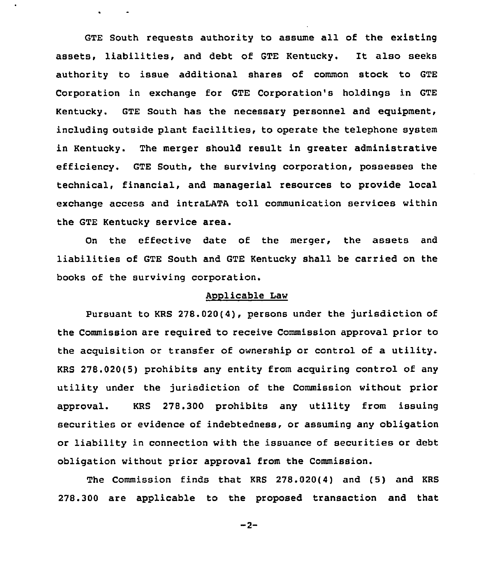GTE South requests authority to assume all of the existing assets, liabilities, and debt of GTE Kentucky. It also seeks authority to issue additional shares of common stock to GTE Corporation in exchange for GTE Corporation's holdings in GTE Kentucky. GTE South has the necessary personnel and equipment, including outside plant facilities, to operate the telephone system in Kentucky. The merger should result in greater administrative efficiency. GTE South, the surviving corporation, possesses the technical, financial, and managerial resources to provide local exchange access and intraLATA toll communication services within the GTE Kentucky service area.

 $\mathbf{r} = \mathbf{r} - \mathbf{r}$ 

On the effective date of the merger, the assets and liabilities of GTE South and GTE Kentucky shall be carried on the books of the surviving corporation.

## Applicable Law

Pursuant to KRS 278.020(4), persons under the jurisdiction of the Commission are required to receive Commission approval prior to the acquisition or transfer of ownership or control of a utility. KRS 278.020(5) prohibits any entity from acquiring control of any utility under the jurisdiction of the Commission without prior approval. KRS 278.300 prohibits any utility from issuing securities or evidence of indebtedness, or assuming any obligation or liability in connection with the issuance of securities or debt obligation without prior approval from the Commission.

The Commission finds that KRS 278.020(4) and (5) and KRS 278.300 are applicable to the proposed transaction and that

 $-2-$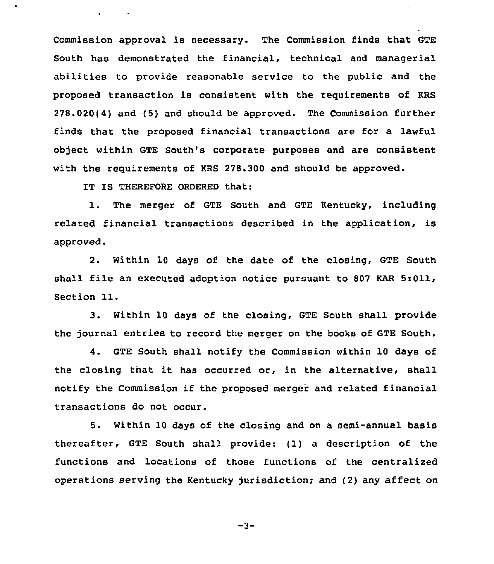Commission approval is necessary. The Commission finds that GTE South has demonstrated the financial, technical and managerial abilities to provide reasonable service to the public and the proposed transaction is consistent with the requirements of KRS 278.020(4) and (5) and should be approved. The Commission further finds that the proposed financial transactions are for a lawful object within GTE South's corporate purposes and are consistent with the requirements of KRS 278.300 and should be approved.

IT IS THEREFORE ORDERED that:

**Contract Contract** 

1. The merger of GTE South and GTE Kentucky, including related financial transactions described in the application, is approved.

2. Within 10 days of the date of the closing, GTE South shall file an executed adoption notice pursuant to <sup>807</sup> KAR 5:011, Section 11.

3. Within 10 days of the closing, GTE South shall provide the journal entries to record the merger on the books of GTE South.

4. GTE South shall notify the Commission within 10 days of the closing tnat it has occurred or, in the alternative, shall notify the Commission if the proposed merger and related financial transactions do not occur.

5. Within 10 days of the closing and on a semi-annual basis thereafter, GTE South shall provide: (1) a description of the functions and locations of those functions of the centralized operations serving the Kentucky jurisdiction; and (2) any affect on

$$
-3-
$$